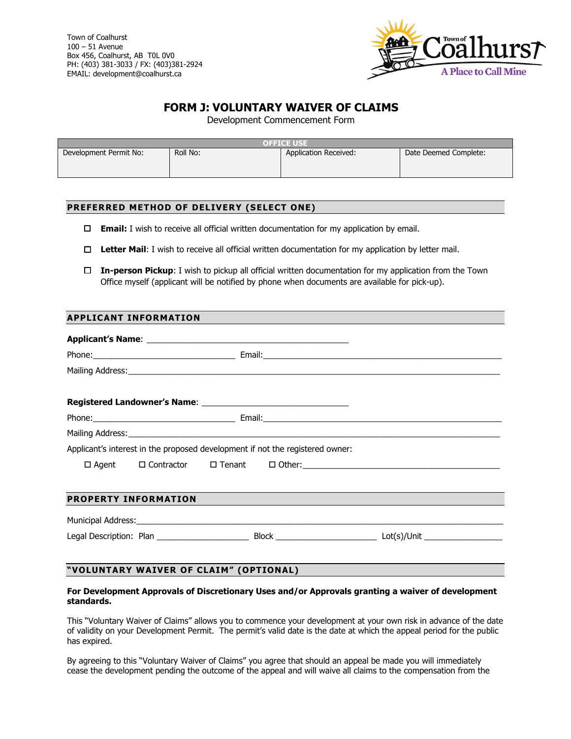

## **FORM J: VOLUNTARY WAIVER OF CLAIMS**

Development Commencement Form

| <b>OFFICE USE</b>      |          |                       |                       |  |  |  |  |
|------------------------|----------|-----------------------|-----------------------|--|--|--|--|
| Development Permit No: | Roll No: | Application Received: | Date Deemed Complete: |  |  |  |  |

## **PREFERRED METHOD OF DELIVERY (SELECT ONE)**

- **Email:** I wish to receive all official written documentation for my application by email.
- **Letter Mail**: I wish to receive all official written documentation for my application by letter mail.
- **In-person Pickup**: I wish to pickup all official written documentation for my application from the Town Office myself (applicant will be notified by phone when documents are available for pick-up).

|  | <b>APPLICANT INFORMATION</b> |  |
|--|------------------------------|--|
|  |                              |  |

| Applicant's interest in the proposed development if not the registered owner: |  |  |  |  |  |  |  |  |  |
|-------------------------------------------------------------------------------|--|--|--|--|--|--|--|--|--|
|                                                                               |  |  |  |  |  |  |  |  |  |
| <b>PROPERTY INFORMATION</b>                                                   |  |  |  |  |  |  |  |  |  |
|                                                                               |  |  |  |  |  |  |  |  |  |
|                                                                               |  |  |  |  |  |  |  |  |  |
|                                                                               |  |  |  |  |  |  |  |  |  |
| "VOLUNTARY WAIVER OF CLAIM" (OPTIONAL)                                        |  |  |  |  |  |  |  |  |  |

## **For Development Approvals of Discretionary Uses and/or Approvals granting a waiver of development standards.**

This "Voluntary Waiver of Claims" allows you to commence your development at your own risk in advance of the date of validity on your Development Permit. The permit's valid date is the date at which the appeal period for the public has expired.

By agreeing to this "Voluntary Waiver of Claims" you agree that should an appeal be made you will immediately cease the development pending the outcome of the appeal and will waive all claims to the compensation from the